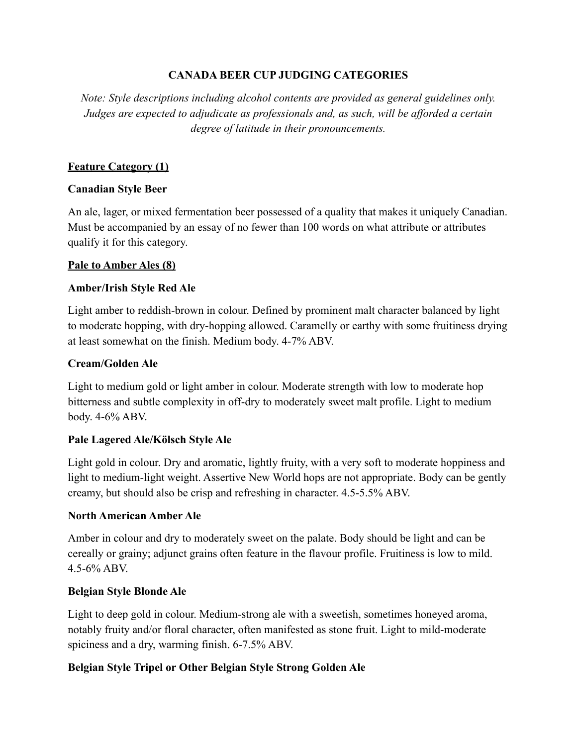## **CANADA BEER CUP JUDGING CATEGORIES**

*Note: Style descriptions including alcohol contents are provided as general guidelines only. Judges are expected to adjudicate as professionals and, as such, will be afforded a certain degree of latitude in their pronouncements.* 

## **Feature Category (1)**

### **Canadian Style Beer**

An ale, lager, or mixed fermentation beer possessed of a quality that makes it uniquely Canadian. Must be accompanied by an essay of no fewer than 100 words on what attribute or attributes qualify it for this category.

### **Pale to Amber Ales (8)**

## **Amber/Irish Style Red Ale**

Light amber to reddish-brown in colour. Defined by prominent malt character balanced by light to moderate hopping, with dry-hopping allowed. Caramelly or earthy with some fruitiness drying at least somewhat on the finish. Medium body. 4-7% ABV.

## **Cream/Golden Ale**

Light to medium gold or light amber in colour. Moderate strength with low to moderate hop bitterness and subtle complexity in off-dry to moderately sweet malt profile. Light to medium body. 4-6% ABV.

### **Pale Lagered Ale/Kölsch Style Ale**

Light gold in colour. Dry and aromatic, lightly fruity, with a very soft to moderate hoppiness and light to medium-light weight. Assertive New World hops are not appropriate. Body can be gently creamy, but should also be crisp and refreshing in character. 4.5-5.5% ABV.

### **North American Amber Ale**

Amber in colour and dry to moderately sweet on the palate. Body should be light and can be cereally or grainy; adjunct grains often feature in the flavour profile. Fruitiness is low to mild. 4.5-6% ABV.

### **Belgian Style Blonde Ale**

Light to deep gold in colour. Medium-strong ale with a sweetish, sometimes honeyed aroma, notably fruity and/or floral character, often manifested as stone fruit. Light to mild-moderate spiciness and a dry, warming finish. 6-7.5% ABV.

# **Belgian Style Tripel or Other Belgian Style Strong Golden Ale**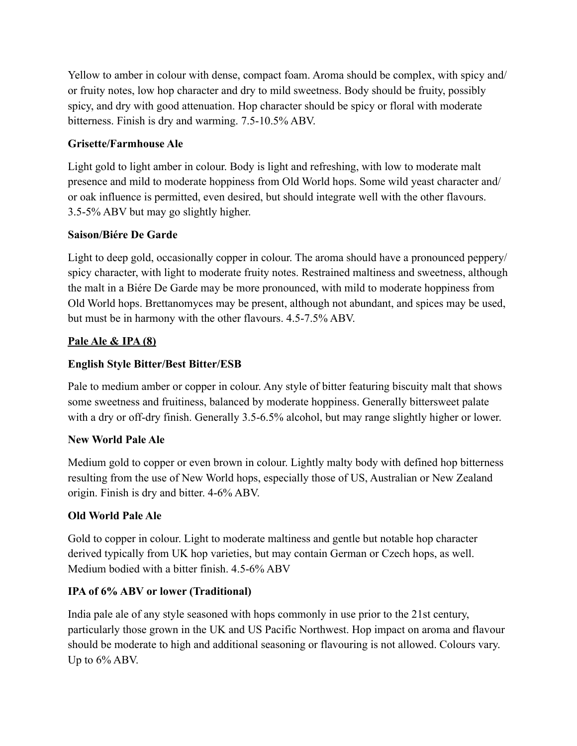Yellow to amber in colour with dense, compact foam. Aroma should be complex, with spicy and/ or fruity notes, low hop character and dry to mild sweetness. Body should be fruity, possibly spicy, and dry with good attenuation. Hop character should be spicy or floral with moderate bitterness. Finish is dry and warming. 7.5-10.5% ABV.

# **Grisette/Farmhouse Ale**

Light gold to light amber in colour. Body is light and refreshing, with low to moderate malt presence and mild to moderate hoppiness from Old World hops. Some wild yeast character and/ or oak influence is permitted, even desired, but should integrate well with the other flavours. 3.5-5% ABV but may go slightly higher.

# **Saison/Biére De Garde**

Light to deep gold, occasionally copper in colour. The aroma should have a pronounced peppery/ spicy character, with light to moderate fruity notes. Restrained maltiness and sweetness, although the malt in a Biére De Garde may be more pronounced, with mild to moderate hoppiness from Old World hops. Brettanomyces may be present, although not abundant, and spices may be used, but must be in harmony with the other flavours. 4.5-7.5% ABV.

## **Pale Ale & IPA (8)**

# **English Style Bitter/Best Bitter/ESB**

Pale to medium amber or copper in colour. Any style of bitter featuring biscuity malt that shows some sweetness and fruitiness, balanced by moderate hoppiness. Generally bittersweet palate with a dry or off-dry finish. Generally 3.5-6.5% alcohol, but may range slightly higher or lower.

### **New World Pale Ale**

Medium gold to copper or even brown in colour. Lightly malty body with defined hop bitterness resulting from the use of New World hops, especially those of US, Australian or New Zealand origin. Finish is dry and bitter. 4-6% ABV.

# **Old World Pale Ale**

Gold to copper in colour. Light to moderate maltiness and gentle but notable hop character derived typically from UK hop varieties, but may contain German or Czech hops, as well. Medium bodied with a bitter finish. 4.5-6% ABV

# **IPA of 6% ABV or lower (Traditional)**

India pale ale of any style seasoned with hops commonly in use prior to the 21st century, particularly those grown in the UK and US Pacific Northwest. Hop impact on aroma and flavour should be moderate to high and additional seasoning or flavouring is not allowed. Colours vary. Up to  $6\%$  ABV.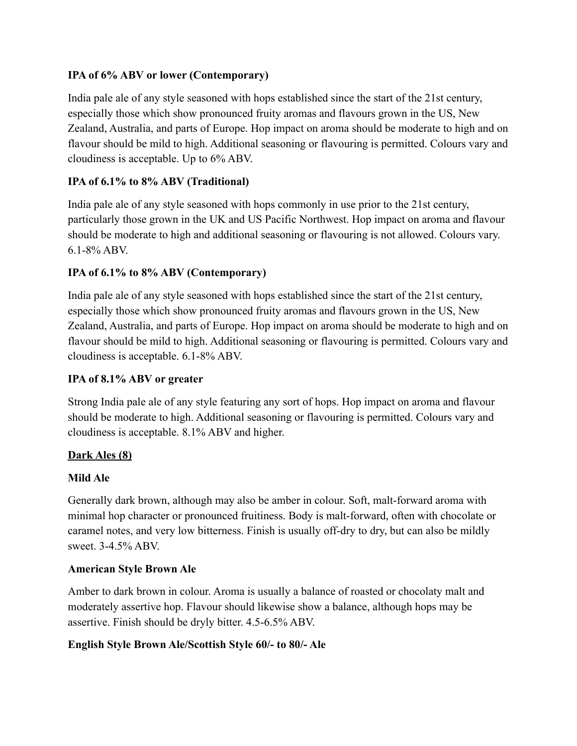## **IPA of 6% ABV or lower (Contemporary)**

India pale ale of any style seasoned with hops established since the start of the 21st century, especially those which show pronounced fruity aromas and flavours grown in the US, New Zealand, Australia, and parts of Europe. Hop impact on aroma should be moderate to high and on flavour should be mild to high. Additional seasoning or flavouring is permitted. Colours vary and cloudiness is acceptable. Up to 6% ABV.

# **IPA of 6.1% to 8% ABV (Traditional)**

India pale ale of any style seasoned with hops commonly in use prior to the 21st century, particularly those grown in the UK and US Pacific Northwest. Hop impact on aroma and flavour should be moderate to high and additional seasoning or flavouring is not allowed. Colours vary. 6.1-8% ABV.

## **IPA of 6.1% to 8% ABV (Contemporary)**

India pale ale of any style seasoned with hops established since the start of the 21st century, especially those which show pronounced fruity aromas and flavours grown in the US, New Zealand, Australia, and parts of Europe. Hop impact on aroma should be moderate to high and on flavour should be mild to high. Additional seasoning or flavouring is permitted. Colours vary and cloudiness is acceptable. 6.1-8% ABV.

### **IPA of 8.1% ABV or greater**

Strong India pale ale of any style featuring any sort of hops. Hop impact on aroma and flavour should be moderate to high. Additional seasoning or flavouring is permitted. Colours vary and cloudiness is acceptable. 8.1% ABV and higher.

### **Dark Ales (8)**

### **Mild Ale**

Generally dark brown, although may also be amber in colour. Soft, malt-forward aroma with minimal hop character or pronounced fruitiness. Body is malt-forward, often with chocolate or caramel notes, and very low bitterness. Finish is usually off-dry to dry, but can also be mildly sweet. 3-4.5% ABV.

### **American Style Brown Ale**

Amber to dark brown in colour. Aroma is usually a balance of roasted or chocolaty malt and moderately assertive hop. Flavour should likewise show a balance, although hops may be assertive. Finish should be dryly bitter. 4.5-6.5% ABV.

# **English Style Brown Ale/Scottish Style 60/- to 80/- Ale**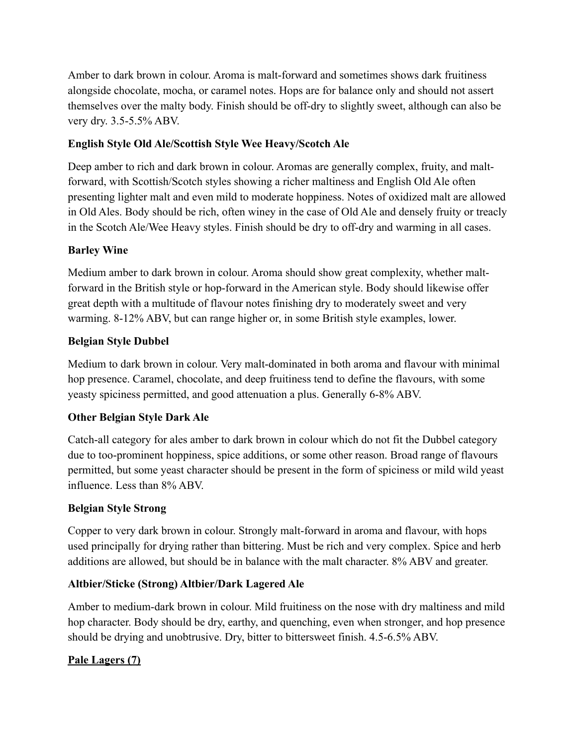Amber to dark brown in colour. Aroma is malt-forward and sometimes shows dark fruitiness alongside chocolate, mocha, or caramel notes. Hops are for balance only and should not assert themselves over the malty body. Finish should be off-dry to slightly sweet, although can also be very dry. 3.5-5.5% ABV.

# **English Style Old Ale/Scottish Style Wee Heavy/Scotch Ale**

Deep amber to rich and dark brown in colour. Aromas are generally complex, fruity, and maltforward, with Scottish/Scotch styles showing a richer maltiness and English Old Ale often presenting lighter malt and even mild to moderate hoppiness. Notes of oxidized malt are allowed in Old Ales. Body should be rich, often winey in the case of Old Ale and densely fruity or treacly in the Scotch Ale/Wee Heavy styles. Finish should be dry to off-dry and warming in all cases.

## **Barley Wine**

Medium amber to dark brown in colour. Aroma should show great complexity, whether maltforward in the British style or hop-forward in the American style. Body should likewise offer great depth with a multitude of flavour notes finishing dry to moderately sweet and very warming. 8-12% ABV, but can range higher or, in some British style examples, lower.

## **Belgian Style Dubbel**

Medium to dark brown in colour. Very malt-dominated in both aroma and flavour with minimal hop presence. Caramel, chocolate, and deep fruitiness tend to define the flavours, with some yeasty spiciness permitted, and good attenuation a plus. Generally 6-8% ABV.

# **Other Belgian Style Dark Ale**

Catch-all category for ales amber to dark brown in colour which do not fit the Dubbel category due to too-prominent hoppiness, spice additions, or some other reason. Broad range of flavours permitted, but some yeast character should be present in the form of spiciness or mild wild yeast influence. Less than 8% ABV.

### **Belgian Style Strong**

Copper to very dark brown in colour. Strongly malt-forward in aroma and flavour, with hops used principally for drying rather than bittering. Must be rich and very complex. Spice and herb additions are allowed, but should be in balance with the malt character. 8% ABV and greater.

### **Altbier/Sticke (Strong) Altbier/Dark Lagered Ale**

Amber to medium-dark brown in colour. Mild fruitiness on the nose with dry maltiness and mild hop character. Body should be dry, earthy, and quenching, even when stronger, and hop presence should be drying and unobtrusive. Dry, bitter to bittersweet finish. 4.5-6.5% ABV.

# **Pale Lagers (7)**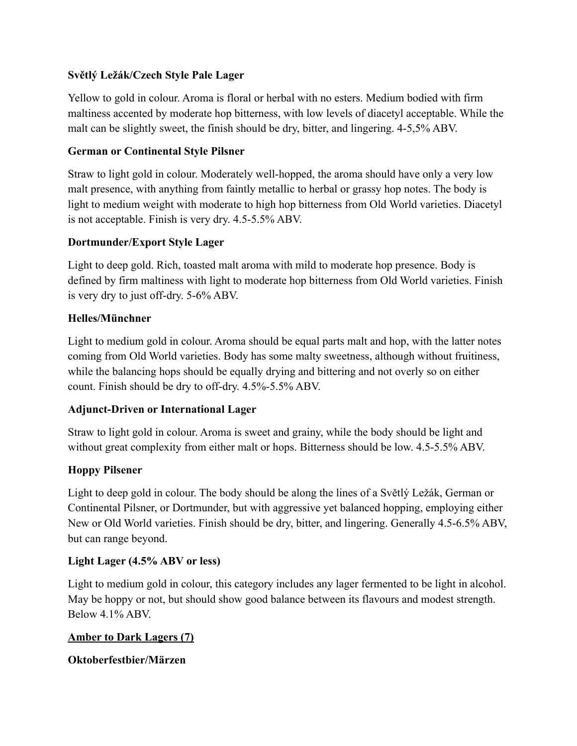## **Světlý Ležák/Czech Style Pale Lager**

Yellow to gold in colour. Aroma is floral or herbal with no esters. Medium bodied with firm maltiness accented by moderate hop bitterness, with low levels of diacetyl acceptable. While the malt can be slightly sweet, the finish should be dry, bitter, and lingering. 4-5,5% ABV.

## **German or Continental Style Pilsner**

Straw to light gold in colour. Moderately well-hopped, the aroma should have only a very low malt presence, with anything from faintly metallic to herbal or grassy hop notes. The body is light to medium weight with moderate to high hop bitterness from Old World varieties. Diacetyl is not acceptable. Finish is very dry. 4.5-5.5% ABV.

## **Dortmunder/Export Style Lager**

Light to deep gold. Rich, toasted malt aroma with mild to moderate hop presence. Body is defined by firm maltiness with light to moderate hop bitterness from Old World varieties. Finish is very dry to just off-dry. 5-6% ABV.

## **Helles/Münchner**

Light to medium gold in colour. Aroma should be equal parts malt and hop, with the latter notes coming from Old World varieties. Body has some malty sweetness, although without fruitiness, while the balancing hops should be equally drying and bittering and not overly so on either count. Finish should be dry to off-dry. 4.5%-5.5% ABV.

### **Adjunct-Driven or International Lager**

Straw to light gold in colour. Aroma is sweet and grainy, while the body should be light and without great complexity from either malt or hops. Bitterness should be low. 4.5-5.5% ABV.

### **Hoppy Pilsener**

Light to deep gold in colour. The body should be along the lines of a Světlý Ležák, German or Continental Pilsner, or Dortmunder, but with aggressive yet balanced hopping, employing either New or Old World varieties. Finish should be dry, bitter, and lingering. Generally 4.5-6.5% ABV, but can range beyond.

### **Light Lager (4.5% ABV or less)**

Light to medium gold in colour, this category includes any lager fermented to be light in alcohol. May be hoppy or not, but should show good balance between its flavours and modest strength. Below 4.1% ABV.

### **Amber to Dark Lagers (7)**

### **Oktoberfestbier/Märzen**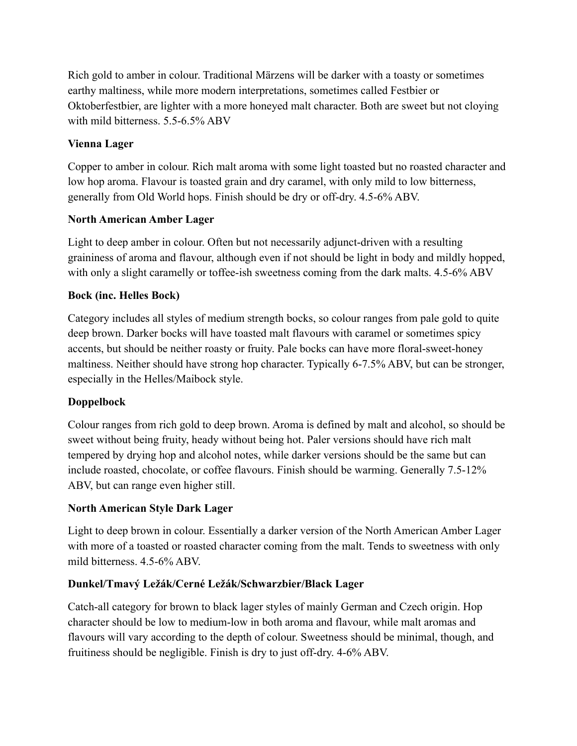Rich gold to amber in colour. Traditional Märzens will be darker with a toasty or sometimes earthy maltiness, while more modern interpretations, sometimes called Festbier or Oktoberfestbier, are lighter with a more honeyed malt character. Both are sweet but not cloying with mild bitterness. 5.5-6.5% ABV

# **Vienna Lager**

Copper to amber in colour. Rich malt aroma with some light toasted but no roasted character and low hop aroma. Flavour is toasted grain and dry caramel, with only mild to low bitterness, generally from Old World hops. Finish should be dry or off-dry. 4.5-6% ABV.

# **North American Amber Lager**

Light to deep amber in colour. Often but not necessarily adjunct-driven with a resulting graininess of aroma and flavour, although even if not should be light in body and mildly hopped, with only a slight caramelly or toffee-ish sweetness coming from the dark malts. 4.5-6% ABV

# **Bock (inc. Helles Bock)**

Category includes all styles of medium strength bocks, so colour ranges from pale gold to quite deep brown. Darker bocks will have toasted malt flavours with caramel or sometimes spicy accents, but should be neither roasty or fruity. Pale bocks can have more floral-sweet-honey maltiness. Neither should have strong hop character. Typically 6-7.5% ABV, but can be stronger, especially in the Helles/Maibock style.

# **Doppelbock**

Colour ranges from rich gold to deep brown. Aroma is defined by malt and alcohol, so should be sweet without being fruity, heady without being hot. Paler versions should have rich malt tempered by drying hop and alcohol notes, while darker versions should be the same but can include roasted, chocolate, or coffee flavours. Finish should be warming. Generally 7.5-12% ABV, but can range even higher still.

# **North American Style Dark Lager**

Light to deep brown in colour. Essentially a darker version of the North American Amber Lager with more of a toasted or roasted character coming from the malt. Tends to sweetness with only mild bitterness. 4.5-6% ABV.

# **Dunkel/Tmavý Ležák/Cerné Ležák/Schwarzbier/Black Lager**

Catch-all category for brown to black lager styles of mainly German and Czech origin. Hop character should be low to medium-low in both aroma and flavour, while malt aromas and flavours will vary according to the depth of colour. Sweetness should be minimal, though, and fruitiness should be negligible. Finish is dry to just off-dry. 4-6% ABV.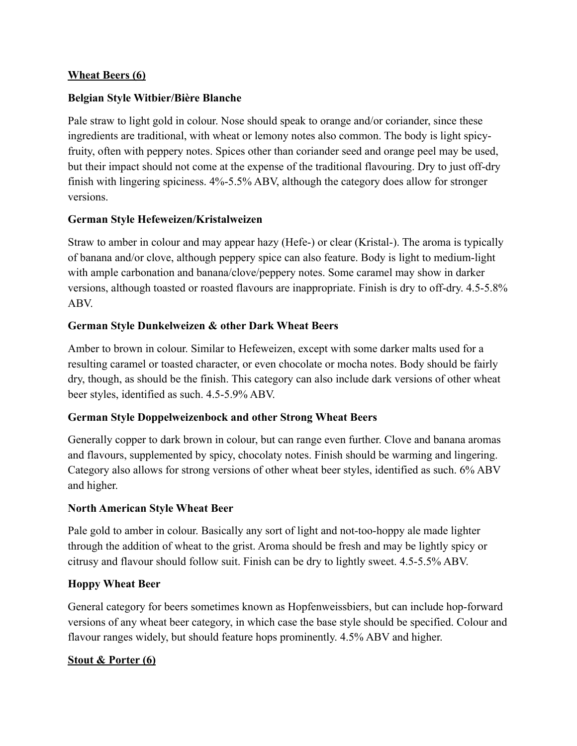### **Wheat Beers (6)**

### **Belgian Style Witbier/Bière Blanche**

Pale straw to light gold in colour. Nose should speak to orange and/or coriander, since these ingredients are traditional, with wheat or lemony notes also common. The body is light spicyfruity, often with peppery notes. Spices other than coriander seed and orange peel may be used, but their impact should not come at the expense of the traditional flavouring. Dry to just off-dry finish with lingering spiciness. 4%-5.5% ABV, although the category does allow for stronger versions.

### **German Style Hefeweizen/Kristalweizen**

Straw to amber in colour and may appear hazy (Hefe-) or clear (Kristal-). The aroma is typically of banana and/or clove, although peppery spice can also feature. Body is light to medium-light with ample carbonation and banana/clove/peppery notes. Some caramel may show in darker versions, although toasted or roasted flavours are inappropriate. Finish is dry to off-dry. 4.5-5.8% ABV.

### **German Style Dunkelweizen & other Dark Wheat Beers**

Amber to brown in colour. Similar to Hefeweizen, except with some darker malts used for a resulting caramel or toasted character, or even chocolate or mocha notes. Body should be fairly dry, though, as should be the finish. This category can also include dark versions of other wheat beer styles, identified as such. 4.5-5.9% ABV.

### **German Style Doppelweizenbock and other Strong Wheat Beers**

Generally copper to dark brown in colour, but can range even further. Clove and banana aromas and flavours, supplemented by spicy, chocolaty notes. Finish should be warming and lingering. Category also allows for strong versions of other wheat beer styles, identified as such. 6% ABV and higher.

#### **North American Style Wheat Beer**

Pale gold to amber in colour. Basically any sort of light and not-too-hoppy ale made lighter through the addition of wheat to the grist. Aroma should be fresh and may be lightly spicy or citrusy and flavour should follow suit. Finish can be dry to lightly sweet. 4.5-5.5% ABV.

#### **Hoppy Wheat Beer**

General category for beers sometimes known as Hopfenweissbiers, but can include hop-forward versions of any wheat beer category, in which case the base style should be specified. Colour and flavour ranges widely, but should feature hops prominently. 4.5% ABV and higher.

#### **Stout & Porter (6)**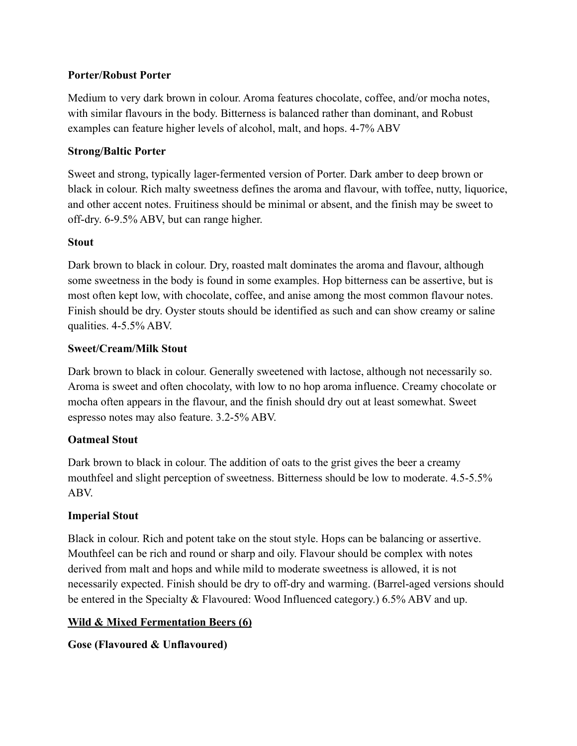## **Porter/Robust Porter**

Medium to very dark brown in colour. Aroma features chocolate, coffee, and/or mocha notes, with similar flavours in the body. Bitterness is balanced rather than dominant, and Robust examples can feature higher levels of alcohol, malt, and hops. 4-7% ABV

## **Strong/Baltic Porter**

Sweet and strong, typically lager-fermented version of Porter. Dark amber to deep brown or black in colour. Rich malty sweetness defines the aroma and flavour, with toffee, nutty, liquorice, and other accent notes. Fruitiness should be minimal or absent, and the finish may be sweet to off-dry. 6-9.5% ABV, but can range higher.

### **Stout**

Dark brown to black in colour. Dry, roasted malt dominates the aroma and flavour, although some sweetness in the body is found in some examples. Hop bitterness can be assertive, but is most often kept low, with chocolate, coffee, and anise among the most common flavour notes. Finish should be dry. Oyster stouts should be identified as such and can show creamy or saline qualities. 4-5.5% ABV.

### **Sweet/Cream/Milk Stout**

Dark brown to black in colour. Generally sweetened with lactose, although not necessarily so. Aroma is sweet and often chocolaty, with low to no hop aroma influence. Creamy chocolate or mocha often appears in the flavour, and the finish should dry out at least somewhat. Sweet espresso notes may also feature. 3.2-5% ABV.

# **Oatmeal Stout**

Dark brown to black in colour. The addition of oats to the grist gives the beer a creamy mouthfeel and slight perception of sweetness. Bitterness should be low to moderate. 4.5-5.5% ABV.

# **Imperial Stout**

Black in colour. Rich and potent take on the stout style. Hops can be balancing or assertive. Mouthfeel can be rich and round or sharp and oily. Flavour should be complex with notes derived from malt and hops and while mild to moderate sweetness is allowed, it is not necessarily expected. Finish should be dry to off-dry and warming. (Barrel-aged versions should be entered in the Specialty & Flavoured: Wood Influenced category.) 6.5% ABV and up.

# **Wild & Mixed Fermentation Beers (6)**

**Gose (Flavoured & Unflavoured)**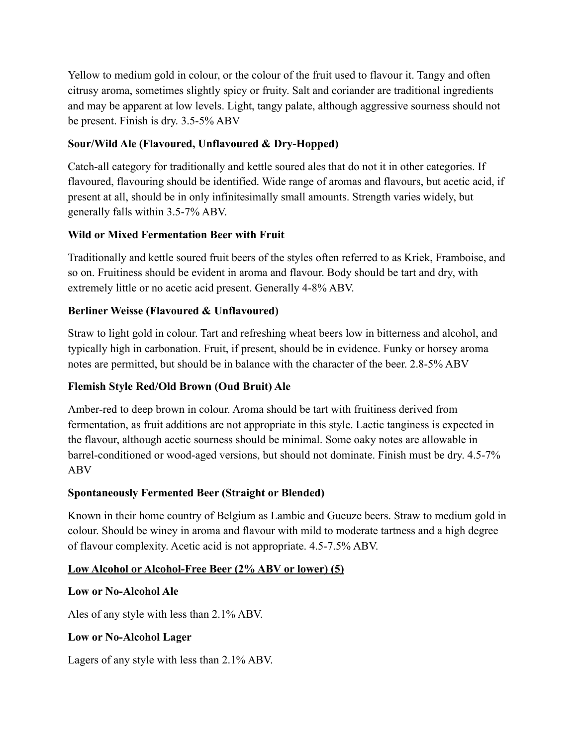Yellow to medium gold in colour, or the colour of the fruit used to flavour it. Tangy and often citrusy aroma, sometimes slightly spicy or fruity. Salt and coriander are traditional ingredients and may be apparent at low levels. Light, tangy palate, although aggressive sourness should not be present. Finish is dry. 3.5-5% ABV

# **Sour/Wild Ale (Flavoured, Unflavoured & Dry-Hopped)**

Catch-all category for traditionally and kettle soured ales that do not it in other categories. If flavoured, flavouring should be identified. Wide range of aromas and flavours, but acetic acid, if present at all, should be in only infinitesimally small amounts. Strength varies widely, but generally falls within 3.5-7% ABV.

# **Wild or Mixed Fermentation Beer with Fruit**

Traditionally and kettle soured fruit beers of the styles often referred to as Kriek, Framboise, and so on. Fruitiness should be evident in aroma and flavour. Body should be tart and dry, with extremely little or no acetic acid present. Generally 4-8% ABV.

## **Berliner Weisse (Flavoured & Unflavoured)**

Straw to light gold in colour. Tart and refreshing wheat beers low in bitterness and alcohol, and typically high in carbonation. Fruit, if present, should be in evidence. Funky or horsey aroma notes are permitted, but should be in balance with the character of the beer. 2.8-5% ABV

# **Flemish Style Red/Old Brown (Oud Bruit) Ale**

Amber-red to deep brown in colour. Aroma should be tart with fruitiness derived from fermentation, as fruit additions are not appropriate in this style. Lactic tanginess is expected in the flavour, although acetic sourness should be minimal. Some oaky notes are allowable in barrel-conditioned or wood-aged versions, but should not dominate. Finish must be dry. 4.5-7% ABV

# **Spontaneously Fermented Beer (Straight or Blended)**

Known in their home country of Belgium as Lambic and Gueuze beers. Straw to medium gold in colour. Should be winey in aroma and flavour with mild to moderate tartness and a high degree of flavour complexity. Acetic acid is not appropriate. 4.5-7.5% ABV.

### **Low Alcohol or Alcohol-Free Beer (2% ABV or lower) (5)**

### **Low or No-Alcohol Ale**

Ales of any style with less than 2.1% ABV.

### **Low or No-Alcohol Lager**

Lagers of any style with less than 2.1% ABV.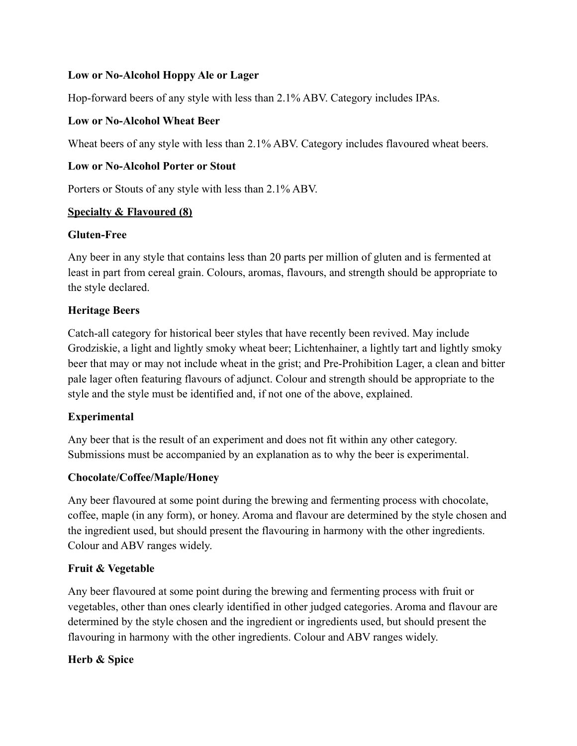## **Low or No-Alcohol Hoppy Ale or Lager**

Hop-forward beers of any style with less than 2.1% ABV. Category includes IPAs.

## **Low or No-Alcohol Wheat Beer**

Wheat beers of any style with less than 2.1% ABV. Category includes flavoured wheat beers.

## **Low or No-Alcohol Porter or Stout**

Porters or Stouts of any style with less than 2.1% ABV.

## **Specialty & Flavoured (8)**

### **Gluten-Free**

Any beer in any style that contains less than 20 parts per million of gluten and is fermented at least in part from cereal grain. Colours, aromas, flavours, and strength should be appropriate to the style declared.

## **Heritage Beers**

Catch-all category for historical beer styles that have recently been revived. May include Grodziskie, a light and lightly smoky wheat beer; Lichtenhainer, a lightly tart and lightly smoky beer that may or may not include wheat in the grist; and Pre-Prohibition Lager, a clean and bitter pale lager often featuring flavours of adjunct. Colour and strength should be appropriate to the style and the style must be identified and, if not one of the above, explained.

# **Experimental**

Any beer that is the result of an experiment and does not fit within any other category. Submissions must be accompanied by an explanation as to why the beer is experimental.

# **Chocolate/Coffee/Maple/Honey**

Any beer flavoured at some point during the brewing and fermenting process with chocolate, coffee, maple (in any form), or honey. Aroma and flavour are determined by the style chosen and the ingredient used, but should present the flavouring in harmony with the other ingredients. Colour and ABV ranges widely.

# **Fruit & Vegetable**

Any beer flavoured at some point during the brewing and fermenting process with fruit or vegetables, other than ones clearly identified in other judged categories. Aroma and flavour are determined by the style chosen and the ingredient or ingredients used, but should present the flavouring in harmony with the other ingredients. Colour and ABV ranges widely.

# **Herb & Spice**